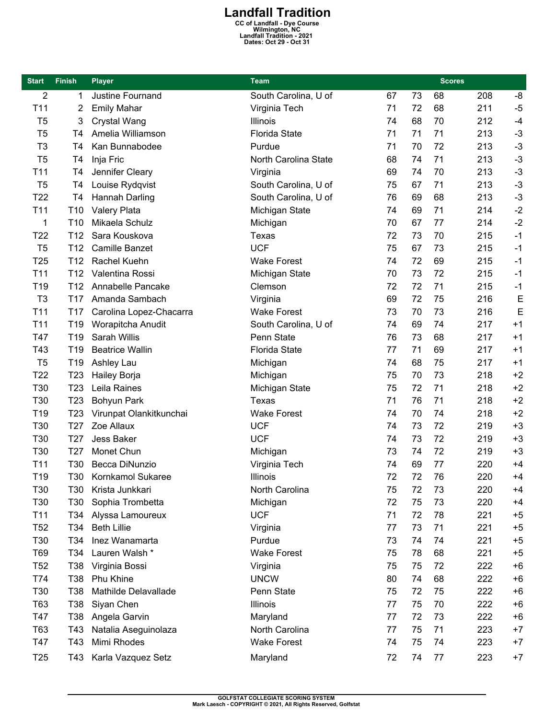**Landfall Tradition**<br>
CC of Landfall - Dye Course<br>
Wilmington, NC<br>
Landfall Tradition - 2021<br>
Dates: Oct 29 - Oct 31

| <b>Start</b>    | <b>Finish</b>   | <b>Player</b>                       | <b>Team</b>          |    |    | <b>Scores</b> |     |      |
|-----------------|-----------------|-------------------------------------|----------------------|----|----|---------------|-----|------|
| 2               | 1               | Justine Fournand                    | South Carolina, U of | 67 | 73 | 68            | 208 | -8   |
| T11             | 2               | <b>Emily Mahar</b>                  | Virginia Tech        | 71 | 72 | 68            | 211 | $-5$ |
| T <sub>5</sub>  | 3               | Crystal Wang                        | Illinois             | 74 | 68 | 70            | 212 | $-4$ |
| T <sub>5</sub>  | T4              | Amelia Williamson                   | <b>Florida State</b> | 71 | 71 | 71            | 213 | $-3$ |
| T <sub>3</sub>  | T4              | Kan Bunnabodee                      | Purdue               | 71 | 70 | 72            | 213 | $-3$ |
| T <sub>5</sub>  | T4              | Inja Fric                           | North Carolina State | 68 | 74 | 71            | 213 | $-3$ |
| T <sub>11</sub> | T <sub>4</sub>  | Jennifer Cleary                     | Virginia             | 69 | 74 | 70            | 213 | $-3$ |
| T <sub>5</sub>  | T <sub>4</sub>  | Louise Rydqvist                     | South Carolina, U of | 75 | 67 | 71            | 213 | $-3$ |
| T <sub>22</sub> | T4              | Hannah Darling                      | South Carolina, U of | 76 | 69 | 68            | 213 | $-3$ |
| T11             | T <sub>10</sub> | Valery Plata                        | Michigan State       | 74 | 69 | 71            | 214 | $-2$ |
| 1               | T <sub>10</sub> | Mikaela Schulz                      | Michigan             | 70 | 67 | 77            | 214 | $-2$ |
| T <sub>22</sub> | T <sub>12</sub> | Sara Kouskova                       | Texas                | 72 | 73 | 70            | 215 | $-1$ |
| T <sub>5</sub>  | T12             | <b>Camille Banzet</b>               | <b>UCF</b>           | 75 | 67 | 73            | 215 | $-1$ |
| T25             | T <sub>12</sub> | Rachel Kuehn                        | <b>Wake Forest</b>   | 74 | 72 | 69            | 215 | $-1$ |
| T <sub>11</sub> | T <sub>12</sub> | Valentina Rossi                     | Michigan State       | 70 | 73 | 72            | 215 | $-1$ |
| T <sub>19</sub> | T <sub>12</sub> | Annabelle Pancake                   | Clemson              | 72 | 72 | 71            | 215 | $-1$ |
| T <sub>3</sub>  | T <sub>17</sub> | Amanda Sambach                      | Virginia             | 69 | 72 | 75            | 216 | E    |
| T <sub>11</sub> | T <sub>17</sub> | Carolina Lopez-Chacarra             | <b>Wake Forest</b>   | 73 | 70 | 73            | 216 | E    |
| T <sub>11</sub> | T19             | Worapitcha Anudit                   | South Carolina, U of | 74 | 69 | 74            | 217 | $+1$ |
| T47             | T <sub>19</sub> | Sarah Willis                        | Penn State           | 76 | 73 | 68            | 217 | $+1$ |
| T43             | T <sub>19</sub> | <b>Beatrice Wallin</b>              | <b>Florida State</b> | 77 | 71 | 69            | 217 | $+1$ |
| T <sub>5</sub>  | T19             | Ashley Lau                          | Michigan             | 74 | 68 | 75            | 217 | $+1$ |
| T22             | T <sub>23</sub> | Hailey Borja                        | Michigan             | 75 | 70 | 73            | 218 | $+2$ |
| T30             | T <sub>23</sub> | Leila Raines                        | Michigan State       | 75 | 72 | 71            | 218 | $+2$ |
| T30             | T <sub>23</sub> | Bohyun Park                         | Texas                | 71 | 76 | 71            | 218 | $+2$ |
| T <sub>19</sub> | T <sub>23</sub> | Virunpat Olankitkunchai             | <b>Wake Forest</b>   | 74 | 70 | 74            | 218 | $+2$ |
| T30             | T <sub>27</sub> | Zoe Allaux                          | <b>UCF</b>           | 74 | 73 | 72            | 219 | $+3$ |
| T30             | T <sub>27</sub> | <b>Jess Baker</b>                   | <b>UCF</b>           | 74 | 73 | 72            | 219 | $+3$ |
| T30             | T <sub>27</sub> | Monet Chun                          | Michigan             | 73 | 74 | 72            | 219 | $+3$ |
| T11             | T30             | Becca DiNunzio                      | Virginia Tech        | 74 | 69 | 77            | 220 | $+4$ |
| T19             | T30             | Kornkamol Sukaree                   | Illinois             | 72 | 72 | 76            | 220 | +4   |
| T <sub>30</sub> | T30             | Krista Junkkari                     | North Carolina       | 75 | 72 | 73            | 220 | $+4$ |
| T30             | T30             | Sophia Trombetta                    | Michigan             | 72 | 75 | 73            | 220 | $+4$ |
| T11             | T34             | Alyssa Lamoureux                    | <b>UCF</b>           | 71 | 72 | 78            | 221 | $+5$ |
| T <sub>52</sub> | T34             | <b>Beth Lillie</b>                  | Virginia             | 77 | 73 | 71            | 221 | $+5$ |
| T <sub>30</sub> | T34             | Inez Wanamarta                      | Purdue               | 73 | 74 | 74            | 221 | $+5$ |
| T69             | T34             | Lauren Walsh *                      | <b>Wake Forest</b>   | 75 | 78 | 68            | 221 | $+5$ |
| T <sub>52</sub> | T38             | Virginia Bossi                      | Virginia             | 75 | 75 | 72            | 222 | $+6$ |
| T74             | T38             | Phu Khine                           | <b>UNCW</b>          | 80 | 74 | 68            | 222 | $+6$ |
| T30             | T38             | Mathilde Delavallade                | Penn State           | 75 | 72 | 75            | 222 | $+6$ |
| T63             | T38             |                                     | Illinois             | 77 | 75 | 70            | 222 | $+6$ |
| T47             | T38             | Siyan Chen<br>Angela Garvin         | Maryland             | 77 | 72 | 73            | 222 | $+6$ |
| T63             | T43             |                                     | North Carolina       | 77 | 75 | 71            | 223 | $+7$ |
| T47             | T43             | Natalia Aseguinolaza<br>Mimi Rhodes | <b>Wake Forest</b>   | 74 | 75 | 74            | 223 | $+7$ |
|                 |                 |                                     |                      |    |    |               |     |      |
| T <sub>25</sub> | T43 I           | Karla Vazquez Setz                  | Maryland             | 72 | 74 | 77            | 223 | $+7$ |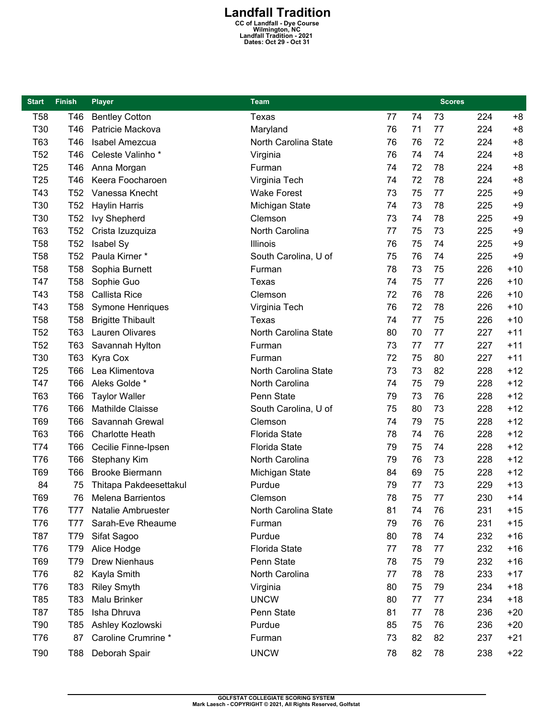## **Landfall Tradition**<br>
CC of Landfall - Dye Course<br>
Wilmington, NC<br>
Landfall Tradition - 2021<br>
Dates: Oct 29 - Oct 31

| <b>Start</b>    | <b>Finish</b>   | <b>Player</b>            | Team                 |    |    | <b>Scores</b> |     |       |
|-----------------|-----------------|--------------------------|----------------------|----|----|---------------|-----|-------|
| <b>T58</b>      | T46             | <b>Bentley Cotton</b>    | <b>Texas</b>         | 77 | 74 | 73            | 224 | $+8$  |
| T30             | T46             | Patricie Mackova         | Maryland             | 76 | 71 | 77            | 224 | $+8$  |
| T63             | T46             | Isabel Amezcua           | North Carolina State | 76 | 76 | 72            | 224 | $+8$  |
| T <sub>52</sub> | T46             | Celeste Valinho*         | Virginia             | 76 | 74 | 74            | 224 | $+8$  |
| T <sub>25</sub> | T46             | Anna Morgan              | Furman               | 74 | 72 | 78            | 224 | $+8$  |
| T <sub>25</sub> | T46             | Keera Foocharoen         | Virginia Tech        | 74 | 72 | 78            | 224 | $+8$  |
| T43             | T <sub>52</sub> | Vanessa Knecht           | <b>Wake Forest</b>   | 73 | 75 | 77            | 225 | $+9$  |
| T30             | T <sub>52</sub> | <b>Haylin Harris</b>     | Michigan State       | 74 | 73 | 78            | 225 | $+9$  |
| T30             | T <sub>52</sub> | <b>Ivy Shepherd</b>      | Clemson              | 73 | 74 | 78            | 225 | $+9$  |
| T63             | T <sub>52</sub> | Crista Izuzquiza         | North Carolina       | 77 | 75 | 73            | 225 | $+9$  |
| <b>T58</b>      | T <sub>52</sub> | Isabel Sy                | Illinois             | 76 | 75 | 74            | 225 | $+9$  |
| <b>T58</b>      | T <sub>52</sub> | Paula Kirner *           | South Carolina, U of | 75 | 76 | 74            | 225 | $+9$  |
| <b>T58</b>      | <b>T58</b>      | Sophia Burnett           | Furman               | 78 | 73 | 75            | 226 | $+10$ |
| T47             | <b>T58</b>      | Sophie Guo               | Texas                | 74 | 75 | 77            | 226 | $+10$ |
| T43             | <b>T58</b>      | Callista Rice            | Clemson              | 72 | 76 | 78            | 226 | $+10$ |
| T43             | <b>T58</b>      | Symone Henriques         | Virginia Tech        | 76 | 72 | 78            | 226 | $+10$ |
| <b>T58</b>      | <b>T58</b>      | <b>Brigitte Thibault</b> | <b>Texas</b>         | 74 | 77 | 75            | 226 | $+10$ |
| T <sub>52</sub> | T63             | Lauren Olivares          | North Carolina State | 80 | 70 | 77            | 227 | $+11$ |
| <b>T52</b>      | T63             | Savannah Hylton          | Furman               | 73 | 77 | 77            | 227 | $+11$ |
| T30             | T63             | Kyra Cox                 | Furman               | 72 | 75 | 80            | 227 | $+11$ |
| T <sub>25</sub> | T66             | Lea Klimentova           | North Carolina State | 73 | 73 | 82            | 228 | $+12$ |
| T47             | <b>T66</b>      | Aleks Golde *            | North Carolina       | 74 | 75 | 79            | 228 | $+12$ |
| T63             | <b>T66</b>      | <b>Taylor Waller</b>     | Penn State           | 79 | 73 | 76            | 228 | $+12$ |
| T76             | T66             | Mathilde Claisse         | South Carolina, U of | 75 | 80 | 73            | 228 | $+12$ |
| T69             | <b>T66</b>      | Savannah Grewal          | Clemson              | 74 | 79 | 75            | 228 | $+12$ |
| T63             | T66             | <b>Charlotte Heath</b>   | <b>Florida State</b> | 78 | 74 | 76            | 228 | $+12$ |
| T74             | <b>T66</b>      | Cecilie Finne-Ipsen      | <b>Florida State</b> | 79 | 75 | 74            | 228 | $+12$ |
| T76             | <b>T66</b>      | Stephany Kim             | North Carolina       | 79 | 76 | 73            | 228 | $+12$ |
| T69             | T66             | <b>Brooke Biermann</b>   | Michigan State       | 84 | 69 | 75            | 228 | $+12$ |
| 84              | 75              | Thitapa Pakdeesettakul   | Purdue               | 79 | 77 | 73            | 229 | $+13$ |
| T69             | 76              | Melena Barrientos        | Clemson              | 78 | 75 | 77            | 230 | $+14$ |
| <b>T76</b>      | T77             | Natalie Ambruester       | North Carolina State | 81 | 74 | 76            | 231 | $+15$ |
| T76             | <b>T77</b>      | Sarah-Eve Rheaume        | Furman               | 79 | 76 | 76            | 231 | $+15$ |
| T87             | T79             | Sifat Sagoo              | Purdue               | 80 | 78 | 74            | 232 | $+16$ |
| <b>T76</b>      | T79             | Alice Hodge              | <b>Florida State</b> | 77 | 78 | 77            | 232 | $+16$ |
| T69             | T79             | Drew Nienhaus            | Penn State           | 78 | 75 | 79            | 232 | $+16$ |
| T76             | 82              | Kayla Smith              | North Carolina       | 77 | 78 | 78            | 233 | $+17$ |
| <b>T76</b>      | T83             | <b>Riley Smyth</b>       | Virginia             | 80 | 75 | 79            | 234 | $+18$ |
| T85             | T83             | Malu Brinker             | <b>UNCW</b>          | 80 | 77 | 77            | 234 | $+18$ |
| T87             | T85             | Isha Dhruva              | Penn State           | 81 | 77 | 78            | 236 | $+20$ |
| T90             | T85             | Ashley Kozlowski         | Purdue               | 85 | 75 | 76            | 236 | $+20$ |
| T76             | 87              | Caroline Crumrine *      | Furman               | 73 | 82 | 82            | 237 | $+21$ |
| T90             | T88             | Deborah Spair            | <b>UNCW</b>          | 78 | 82 | 78            | 238 | $+22$ |